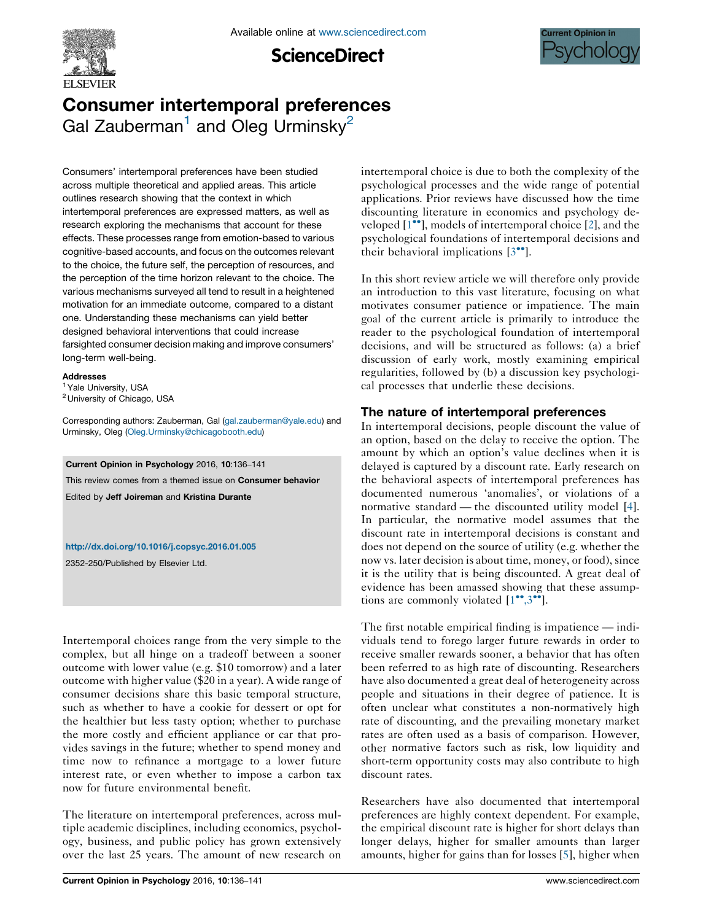

**ScienceDirect** 



# Consumer intertemporal preferences Gal Zauberman<sup>1</sup> and Oleg Urminsky<sup>2</sup>

Consumers' intertemporal preferences have been studied across multiple theoretical and applied areas. This article outlines research showing that the context in which intertemporal preferences are expressed matters, as well as research exploring the mechanisms that account for these effects. These processes range from emotion-based to various cognitive-based accounts, and focus on the outcomes relevant to the choice, the future self, the perception of resources, and the perception of the time horizon relevant to the choice. The various mechanisms surveyed all tend to result in a heightened motivation for an immediate outcome, compared to a distant one. Understanding these mechanisms can yield better designed behavioral interventions that could increase farsighted consumer decision making and improve consumers' long-term well-being.

#### Addresses

<sup>1</sup> Yale University, USA

<sup>2</sup> University of Chicago, USA

Corresponding authors: Zauberman, Gal ([gal.zauberman@yale.edu](mailto:gal.zauberman@yale.edu)) and Urminsky, Oleg ([Oleg.Urminsky@chicagobooth.edu\)](mailto:Oleg.Urminsky@chicagobooth.edu)

Current Opinion in Psychology 2016, 10:136–141

This review comes from a themed issue on Consumer behavior

Edited by Jeff Joireman and Kristina Durante

<http://dx.doi.org/10.1016/j.copsyc.2016.01.005>

2352-250/Published by Elsevier Ltd.

Intertemporal choices range from the very simple to the complex, but all hinge on a tradeoff between a sooner outcome with lower value (e.g. \$10 tomorrow) and a later outcome with higher value (\$20 in a year). A wide range of consumer decisions share this basic temporal structure, such as whether to have a cookie for dessert or opt for the healthier but less tasty option; whether to purchase the more costly and efficient appliance or car that provides savings in the future; whether to spend money and time now to refinance a mortgage to a lower future interest rate, or even whether to impose a carbon tax now for future environmental benefit.

The literature on intertemporal preferences, across multiple academic disciplines, including economics, psychology, business, and public policy has grown extensively over the last 25 years. The amount of new research on intertemporal choice is due to both the complexity of the psychological processes and the wide range of potential applications. Prior reviews have discussed how the time discounting literature in economics and psychology de-veloped [\[1](#page-3-0)<sup>••</sup>], models of intertemporal choice [[2\]](#page-4-0), and the psychological foundations of intertemporal decisions and their behavioral implications  $[3^{\bullet\bullet}]$  $[3^{\bullet\bullet}]$  $[3^{\bullet\bullet}]$ .

In this short review article we will therefore only provide an introduction to this vast literature, focusing on what motivates consumer patience or impatience. The main goal of the current article is primarily to introduce the reader to the psychological foundation of intertemporal decisions, and will be structured as follows: (a) a brief discussion of early work, mostly examining empirical regularities, followed by (b) a discussion key psychological processes that underlie these decisions.

## The nature of intertemporal preferences

In intertemporal decisions, people discount the value of an option, based on the delay to receive the option. The amount by which an option's value declines when it is delayed is captured by a discount rate. Early research on the behavioral aspects of intertemporal preferences has documented numerous 'anomalies', or violations of a normative standard — the discounted utility model [[4](#page-4-0)]. In particular, the normative model assumes that the discount rate in intertemporal decisions is constant and does not depend on the source of utility (e.g. whether the now vs. later decision is about time, money, or food), since it is the utility that is being discounted. A great deal of evidence has been amassed showing that these assumptions are commonly violated  $[1^{\bullet\bullet},3^{\bullet\bullet}].$  $[1^{\bullet\bullet},3^{\bullet\bullet}].$  $[1^{\bullet\bullet},3^{\bullet\bullet}].$  $[1^{\bullet\bullet},3^{\bullet\bullet}].$ 

The first notable empirical finding is impatience — individuals tend to forego larger future rewards in order to receive smaller rewards sooner, a behavior that has often been referred to as high rate of discounting. Researchers have also documented a great deal of heterogeneity across people and situations in their degree of patience. It is often unclear what constitutes a non-normatively high rate of discounting, and the prevailing monetary market rates are often used as a basis of comparison. However, other normative factors such as risk, low liquidity and short-term opportunity costs may also contribute to high discount rates.

Researchers have also documented that intertemporal preferences are highly context dependent. For example, the empirical discount rate is higher for short delays than longer delays, higher for smaller amounts than larger amounts, higher for gains than for losses [\[5](#page-4-0)], higher when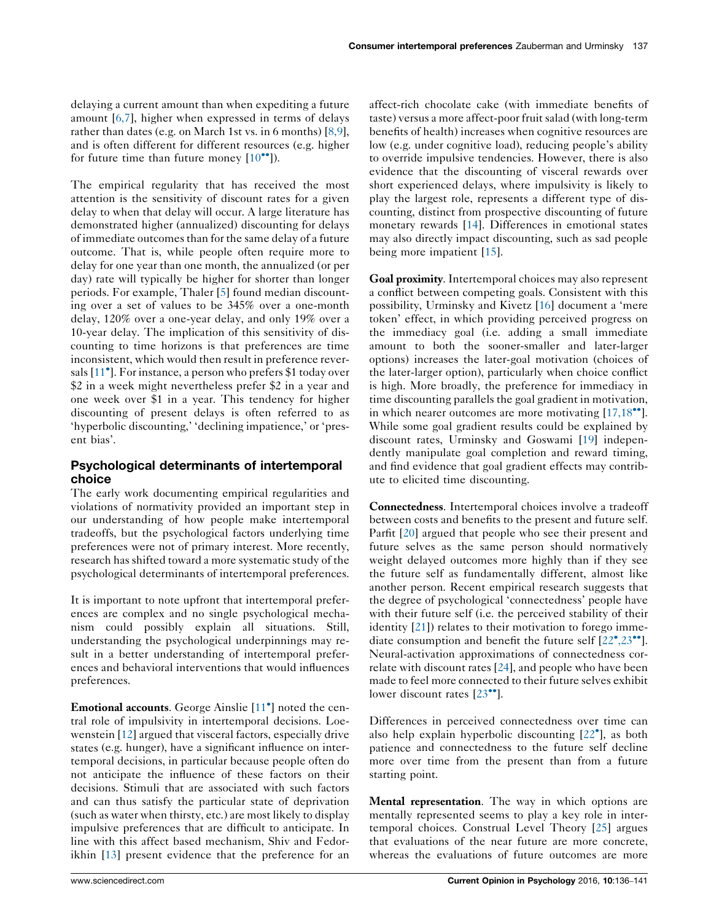delaying a current amount than when expediting a future amount [[6,7](#page-4-0)], higher when expressed in terms of delays rather than dates (e.g. on March 1st vs. in 6 months) [[8,9](#page-4-0)], and is often different for different resources (e.g. higher for future time than future money  $[10^{\bullet \bullet}])$  $[10^{\bullet \bullet}])$  $[10^{\bullet \bullet}])$ .

The empirical regularity that has received the most attention is the sensitivity of discount rates for a given delay to when that delay will occur. A large literature has demonstrated higher (annualized) discounting for delays of immediate outcomesthan for the same delay of a future outcome. That is, while people often require more to delay for one year than one month, the annualized (or per day) rate will typically be higher for shorter than longer periods. For example, Thaler [[5\]](#page-4-0) found median discounting over a set of values to be 345% over a one-month delay, 120% over a one-year delay, and only 19% over a 10-year delay. The implication of this sensitivity of discounting to time horizons is that preferences are time inconsistent, which would then result in preference rever-sals [\[11](#page-4-0)<sup>°</sup>]. For instance, a person who prefers \$1 today over \$2 in a week might nevertheless prefer \$2 in a year and one week over \$1 in a year. This tendency for higher discounting of present delays is often referred to as 'hyperbolic discounting,' 'declining impatience,' or 'present bias'.

## Psychological determinants of intertemporal choice

The early work documenting empirical regularities and violations of normativity provided an important step in our understanding of how people make intertemporal tradeoffs, but the psychological factors underlying time preferences were not of primary interest. More recently, research has shifted toward a more systematic study of the psychological determinants of intertemporal preferences.

It is important to note upfront that intertemporal preferences are complex and no single psychological mechanism could possibly explain all situations. Still, understanding the psychological underpinnings may result in a better understanding of intertemporal preferences and behavioral interventions that would influences preferences.

Emotional accounts. George Ainslie [[11](#page-4-0)<sup>°</sup>] noted the central role of impulsivity in intertemporal decisions. Loewenstein [[12\]](#page-4-0) argued that visceral factors, especially drive states (e.g. hunger), have a significant influence on intertemporal decisions, in particular because people often do not anticipate the influence of these factors on their decisions. Stimuli that are associated with such factors and can thus satisfy the particular state of deprivation (such as water when thirsty, etc.) are most likely to display impulsive preferences that are difficult to anticipate. In line with this affect based mechanism, Shiv and Fedorikhin [[13\]](#page-4-0) present evidence that the preference for an

affect-rich chocolate cake (with immediate benefits of taste) versus a more affect-poor fruit salad (with long-term benefits of health) increases when cognitive resources are low (e.g. under cognitive load), reducing people's ability to override impulsive tendencies. However, there is also evidence that the discounting of visceral rewards over short experienced delays, where impulsivity is likely to play the largest role, represents a different type of discounting, distinct from prospective discounting of future monetary rewards [\[14](#page-4-0)]. Differences in emotional states may also directly impact discounting, such as sad people being more impatient [[15\]](#page-4-0).

Goal proximity. Intertemporal choices may also represent a conflict between competing goals. Consistent with this possibility, Urminsky and Kivetz [[16\]](#page-4-0) document a 'mere token' effect, in which providing perceived progress on the immediacy goal (i.e. adding a small immediate amount to both the sooner-smaller and later-larger options) increases the later-goal motivation (choices of the later-larger option), particularly when choice conflict is high. More broadly, the preference for immediacy in time discounting parallels the goal gradient in motivation, in which nearer outcomes are more motivating  $[17,18\text{--}^{\bullet}].$  $[17,18\text{--}^{\bullet}].$  $[17,18\text{--}^{\bullet}].$ While some goal gradient results could be explained by discount rates, Urminsky and Goswami [[19\]](#page-4-0) independently manipulate goal completion and reward timing, and find evidence that goal gradient effects may contribute to elicited time discounting.

Connectedness. Intertemporal choices involve a tradeoff between costs and benefits to the present and future self. Parfit [\[20](#page-4-0)] argued that people who see their present and future selves as the same person should normatively weight delayed outcomes more highly than if they see the future self as fundamentally different, almost like another person. Recent empirical research suggests that the degree of psychological 'connectedness' people have with their future self (i.e. the perceived stability of their identity [[21\]](#page-4-0)) relates to their motivation to forego immediate consumption and benefit the future self  $[22^{\circ}, 23^{\circ\circ}]$  $[22^{\circ}, 23^{\circ\circ}]$  $[22^{\circ}, 23^{\circ\circ}]$ . Neural-activation approximations of connectedness correlate with discount rates  $[24]$  $[24]$ , and people who have been made to feel more connected to their future selves exhibit lower discount rates [[23](#page-4-0)<sup>••</sup>].

Differences in perceived connectedness over time can also help explain hyperbolic discounting [[22](#page-4-0)°], as both patience and connectedness to the future self decline more over time from the present than from a future starting point.

Mental representation. The way in which options are mentally represented seems to play a key role in intertemporal choices. Construal Level Theory [\[25](#page-4-0)] argues that evaluations of the near future are more concrete, whereas the evaluations of future outcomes are more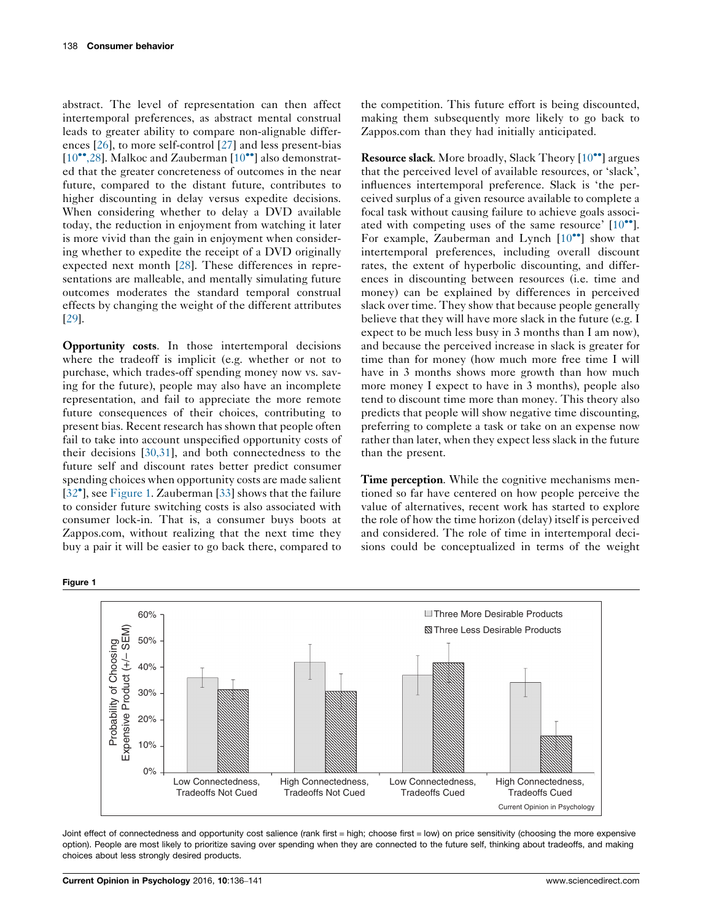abstract. The level of representation can then affect intertemporal preferences, as abstract mental construal leads to greater ability to compare non-alignable differences [[26\]](#page-4-0), to more self-control [[27\]](#page-4-0) and less present-bias [\[10](#page-4-0)<sup>\*\*</sup>[,28](#page-4-0)]. Malkoc and Zauberman [[10](#page-4-0)<sup>\*\*</sup>] also demonstrated that the greater concreteness of outcomes in the near future, compared to the distant future, contributes to higher discounting in delay versus expedite decisions. When considering whether to delay a DVD available today, the reduction in enjoyment from watching it later is more vivid than the gain in enjoyment when considering whether to expedite the receipt of a DVD originally expected next month [\[28](#page-4-0)]. These differences in representations are malleable, and mentally simulating future outcomes moderates the standard temporal construal effects by changing the weight of the different attributes [\[29](#page-4-0)].

Opportunity costs. In those intertemporal decisions where the tradeoff is implicit (e.g. whether or not to purchase, which trades-off spending money now vs. saving for the future), people may also have an incomplete representation, and fail to appreciate the more remote future consequences of their choices, contributing to present bias. Recent research has shown that people often fail to take into account unspecified opportunity costs of their decisions [[30,31](#page-4-0)], and both connectedness to the future self and discount rates better predict consumer spending choices when opportunity costs are made salient [\[32](#page-4-0)<sup>\*</sup>], see Figure 1. Zauberman [\[33](#page-4-0)] shows that the failure to consider future switching costs is also associated with consumer lock-in. That is, a consumer buys boots at Zappos.com, without realizing that the next time they buy a pair it will be easier to go back there, compared to

the competition. This future effort is being discounted, making them subsequently more likely to go back to Zappos.com than they had initially anticipated.

Resource slack. More broadly, Slack Theory [\[10](#page-4-0)<sup>\*\*</sup>] argues that the perceived level of available resources, or 'slack', influences intertemporal preference. Slack is 'the perceived surplus of a given resource available to complete a focal task without causing failure to achieve goals associated with competing uses of the same resource'  $[10^{\bullet\bullet}]$  $[10^{\bullet\bullet}]$ . For example, Zauberman and Lynch [\[10](#page-4-0)<sup>••</sup>] show that intertemporal preferences, including overall discount rates, the extent of hyperbolic discounting, and differences in discounting between resources (i.e. time and money) can be explained by differences in perceived slack over time. They show that because people generally believe that they will have more slack in the future (e.g. I expect to be much less busy in 3 months than I am now), and because the perceived increase in slack is greater for time than for money (how much more free time I will have in 3 months shows more growth than how much more money I expect to have in 3 months), people also tend to discount time more than money. This theory also predicts that people will show negative time discounting, preferring to complete a task or take on an expense now rather than later, when they expect less slack in the future than the present.

Time perception. While the cognitive mechanisms mentioned so far have centered on how people perceive the value of alternatives, recent work has started to explore the role of how the time horizon (delay) itself is perceived and considered. The role of time in intertemporal decisions could be conceptualized in terms of the weight



Joint effect of connectedness and opportunity cost salience (rank first = high; choose first = low) on price sensitivity (choosing the more expensive option). People are most likely to prioritize saving over spending when they are connected to the future self, thinking about tradeoffs, and making choices about less strongly desired products.

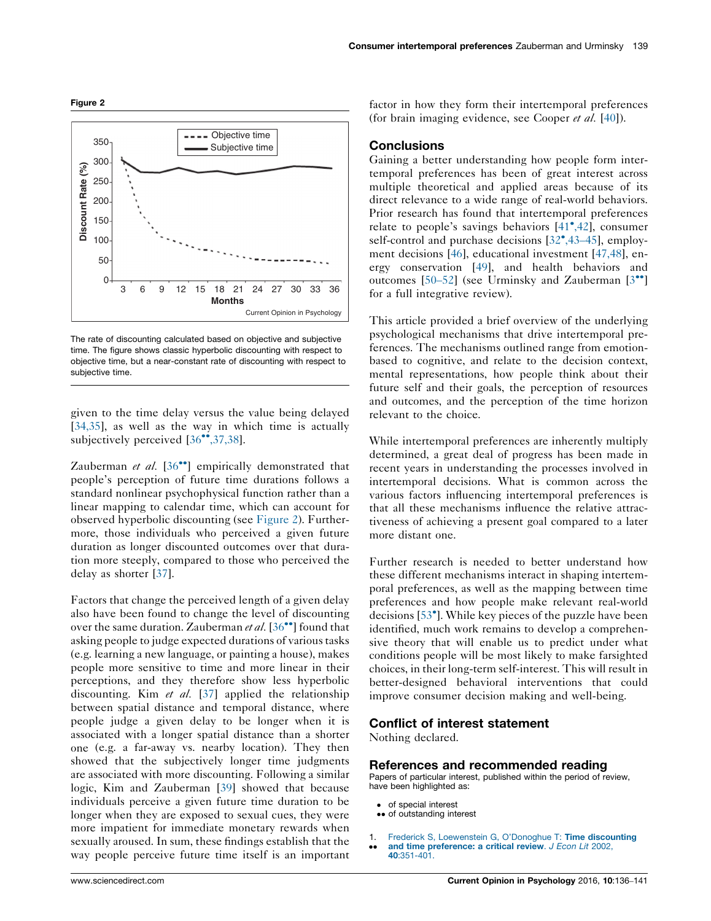<span id="page-3-0"></span>



The rate of discounting calculated based on objective and subjective time. The figure shows classic hyperbolic discounting with respect to objective time, but a near-constant rate of discounting with respect to subjective time.

given to the time delay versus the value being delayed [\[34,35\]](#page-4-0), as well as the way in which time is actually subjectively perceived [[36](#page-4-0)<sup>\*\*</sup>[,37,38\]](#page-4-0).

Zauberman et al. [[36](#page-4-0)<sup>••</sup>] empirically demonstrated that people's perception of future time durations follows a standard nonlinear psychophysical function rather than a linear mapping to calendar time, which can account for observed hyperbolic discounting (see Figure 2). Furthermore, those individuals who perceived a given future duration as longer discounted outcomes over that duration more steeply, compared to those who perceived the delay as shorter [[37\]](#page-4-0).

Factors that change the perceived length of a given delay also have been found to change the level of discounting over the same duration. Zauberman et al.  $[36\text{''}]$  $[36\text{''}]$  $[36\text{''}]$  found that asking people to judge expected durations of various tasks (e.g. learning a new language, or painting a house), makes people more sensitive to time and more linear in their perceptions, and they therefore show less hyperbolic discounting. Kim et al. [[37\]](#page-4-0) applied the relationship between spatial distance and temporal distance, where people judge a given delay to be longer when it is associated with a longer spatial distance than a shorter one (e.g. a far-away vs. nearby location). They then showed that the subjectively longer time judgments are associated with more discounting. Following a similar logic, Kim and Zauberman [[39\]](#page-4-0) showed that because individuals perceive a given future time duration to be longer when they are exposed to sexual cues, they were more impatient for immediate monetary rewards when sexually aroused. In sum, these findings establish that the way people perceive future time itself is an important factor in how they form their intertemporal preferences (for brain imaging evidence, see Cooper et al. [[40\]](#page-5-0)).

#### **Conclusions**

Gaining a better understanding how people form intertemporal preferences has been of great interest across multiple theoretical and applied areas because of its direct relevance to a wide range of real-world behaviors. Prior research has found that intertemporal preferences relate to people's savings behaviors  $[41^\bullet, 42]$  $[41^\bullet, 42]$ , consumer self-control and purchase decisions [\[32](#page-4-0)°[,43](#page-4-0)-45], employment decisions [[46](#page-5-0)], educational investment [\[47,48\]](#page-5-0), energy conservation [\[49](#page-5-0)], and health behaviors and outcomes [\[50](#page-5-0)–52] (see Urminsky and Zauberman [[3](#page-4-0)<sup>\*\*</sup>] for a full integrative review).

This article provided a brief overview of the underlying psychological mechanisms that drive intertemporal preferences. The mechanisms outlined range from emotionbased to cognitive, and relate to the decision context, mental representations, how people think about their future self and their goals, the perception of resources and outcomes, and the perception of the time horizon relevant to the choice.

While intertemporal preferences are inherently multiply determined, a great deal of progress has been made in recent years in understanding the processes involved in intertemporal decisions. What is common across the various factors influencing intertemporal preferences is that all these mechanisms influence the relative attractiveness of achieving a present goal compared to a later more distant one.

Further research is needed to better understand how these different mechanisms interact in shaping intertemporal preferences, as well as the mapping between time preferences and how people make relevant real-world decisions [[53](#page-5-0)- ]. While key pieces of the puzzle have been identified, much work remains to develop a comprehensive theory that will enable us to predict under what conditions people will be most likely to make farsighted choices, in their long-term self-interest. This will result in better-designed behavioral interventions that could improve consumer decision making and well-being.

### Conflict of interest statement

Nothing declared.

#### References and recommended reading

Papers of particular interest, published within the period of review, have been highlighted as:

- of special interest
- •• of outstanding interest
- 1. Frederick S, Loewenstein G, [O'Donoghue](http://refhub.elsevier.com/S2352-250X(16)00007-5/sbref0005) T: Time discounting and time [preference:](http://refhub.elsevier.com/S2352-250X(16)00007-5/sbref0005) a critical review. J Econ Lit 2002,
- --40[:351-401.](http://refhub.elsevier.com/S2352-250X(16)00007-5/sbref0005)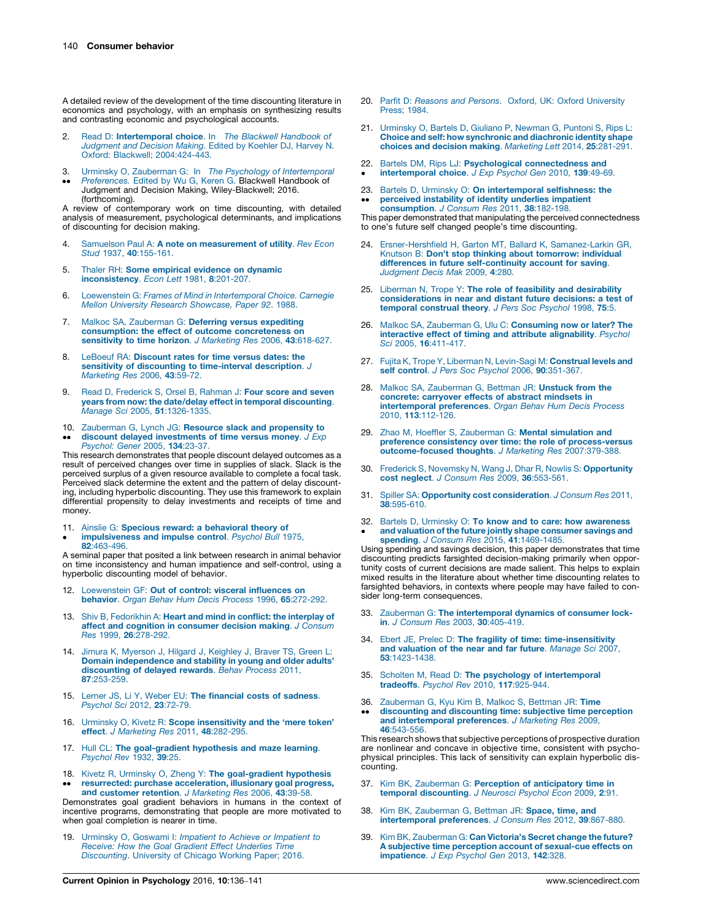<span id="page-4-0"></span>A detailed review of the development of the time discounting literature in economics and psychology, with an emphasis on synthesizing results and contrasting economic and psychological accounts.

- 2. Read D: [Intertemporal](http://refhub.elsevier.com/S2352-250X(16)00007-5/sbref0010) choice. In The Blackwell Handbook of [Judgment](http://refhub.elsevier.com/S2352-250X(16)00007-5/sbref0010) and Decision Making. Edited by Koehler DJ, Harvey N. Oxford: [Blackwell;](http://refhub.elsevier.com/S2352-250X(16)00007-5/sbref0010) 2004:[424-443.](http://refhub.elsevier.com/S2352-250X(16)00007-5/sbref0010)
- 3. Urminsky O, Zauberman G: In The Psychology of [Intertemporal](http://refhub.elsevier.com/S2352-250X(16)00007-5/sbref0015)
- $\bullet$  $\bullet$ [Preferences.](http://refhub.elsevier.com/S2352-250X(16)00007-5/sbref0015) Edited by Wu G, Keren G. Blackwell Handbook of Judgment and Decision Making, Wiley-Blackwell; 2016. (forthcoming).

A review of contemporary work on time discounting, with detailed analysis of measurement, psychological determinants, and implications of discounting for decision making.

- 4. Samuelson Paul A: A note on [measurement](http://refhub.elsevier.com/S2352-250X(16)00007-5/sbref0020) of utility. Rev Econ Stud 1937, 40[:155-161.](http://refhub.elsevier.com/S2352-250X(16)00007-5/sbref0020)
- 5. Thaler RH: Some [empirical](http://refhub.elsevier.com/S2352-250X(16)00007-5/sbref0025) evidence on dynamic [inconsistency](http://refhub.elsevier.com/S2352-250X(16)00007-5/sbref0025). Econ Lett 1981, 8:201-207.
- 6. Loewenstein G: Frames of Mind in [Intertemporal](http://refhub.elsevier.com/S2352-250X(16)00007-5/sbref0030) Choice. Carnegie Mellon University Research [Showcase,](http://refhub.elsevier.com/S2352-250X(16)00007-5/sbref0030) Paper 92. 1988.
- 7. Malkoc SA, [Zauberman](http://refhub.elsevier.com/S2352-250X(16)00007-5/sbref0035) G: Deferring versus expediting [consumption:](http://refhub.elsevier.com/S2352-250X(16)00007-5/sbref0035) the effect of outcome concreteness on [sensitivity](http://refhub.elsevier.com/S2352-250X(16)00007-5/sbref0035) to time horizon. J Marketing Res 2006, 43:618-627.
- 8. LeBoeuf RA: [Discount](http://refhub.elsevier.com/S2352-250X(16)00007-5/sbref0040) rates for time versus dates: the sensitivity of discounting to [time-interval](http://refhub.elsevier.com/S2352-250X(16)00007-5/sbref0040) description. J [Marketing](http://refhub.elsevier.com/S2352-250X(16)00007-5/sbref0040) Res 2006, 43:59-72.
- 9. Read D, [Frederick](http://refhub.elsevier.com/S2352-250X(16)00007-5/sbref0045) S, Orsel B, Rahman J: Four score and seven years from now: the date/delay effect in temporal [discounting](http://refhub.elsevier.com/S2352-250X(16)00007-5/sbref0045). Manage Sci 2005, 51[:1326-1335.](http://refhub.elsevier.com/S2352-250X(16)00007-5/sbref0045)
- 10. [Zauberman](http://refhub.elsevier.com/S2352-250X(16)00007-5/sbref0050) G, Lynch JG: Resource slack and propensity to
- $\bullet$  $\bullet$ **discount delayed [investments](http://refhub.elsevier.com/S2352-250X(16)00007-5/sbref0050) of time versus money**. J Exp<br>[Psychol:](http://refhub.elsevier.com/S2352-250X(16)00007-5/sbref0050) Gener 2005, **134**:23-37.

This research demonstrates that people discount delayed outcomes as a result of perceived changes over time in supplies of slack. Slack is the perceived surplus of a given resource available to complete a focal task. Perceived slack determine the extent and the pattern of delay discounting, including hyperbolic discounting. They use this framework to explain differential propensity to delay investments and receipts of time and money.

11. Ainslie G: Specious reward: a [behavioral](http://refhub.elsevier.com/S2352-250X(16)00007-5/sbref0055) theory of  $\bullet$ [impulsiveness](http://refhub.elsevier.com/S2352-250X(16)00007-5/sbref0055) and impulse control. Psychol Bull 1975,

82[:463-496.](http://refhub.elsevier.com/S2352-250X(16)00007-5/sbref0055) A seminal paper that posited a link between research in animal behavior on time inconsistency and human impatience and self-control, using a hyperbolic discounting model of behavior.

- 12. [Loewenstein](http://refhub.elsevier.com/S2352-250X(16)00007-5/sbref0060) GF: Out of control: visceral influences on behavior. Organ Behav Hum Decis Process 1996, 65[:272-292.](http://refhub.elsevier.com/S2352-250X(16)00007-5/sbref0060)
- 13. Shiv B, [Fedorikhin](http://refhub.elsevier.com/S2352-250X(16)00007-5/sbref0065) A: Heart and mind in conflict: the interplay of affect and cognition in [consumer](http://refhub.elsevier.com/S2352-250X(16)00007-5/sbref0065) decision making. J Consum Res 1999, 26[:278-292.](http://refhub.elsevier.com/S2352-250X(16)00007-5/sbref0065)
- 14. Jimura K, [Myerson](http://refhub.elsevier.com/S2352-250X(16)00007-5/sbref0070) J, Hilgard J, Keighley J, Braver TS, Green L: Domain [independence](http://refhub.elsevier.com/S2352-250X(16)00007-5/sbref0070) and stability in young and older adults' [discounting](http://refhub.elsevier.com/S2352-250X(16)00007-5/sbref0070) of delayed rewards. Behav Process 2011, 87[:253-259.](http://refhub.elsevier.com/S2352-250X(16)00007-5/sbref0070)
- 15. Lerner JS, Li Y, Weber EU: The [financial](http://refhub.elsevier.com/S2352-250X(16)00007-5/sbref0075) costs of sadness. [Psychol](http://refhub.elsevier.com/S2352-250X(16)00007-5/sbref0075) Sci 2012, 23:72-79.
- 16. Urminsky O, Kivetz R: Scope [insensitivity](http://refhub.elsevier.com/S2352-250X(16)00007-5/sbref0080) and the 'mere token' effect. J [Marketing](http://refhub.elsevier.com/S2352-250X(16)00007-5/sbref0080) Res 2011, 48:282-295.
- 17. Hull CL: The [goal-gradient](http://refhub.elsevier.com/S2352-250X(16)00007-5/sbref0085) hypothesis and maze learning. [Psychol](http://refhub.elsevier.com/S2352-250X(16)00007-5/sbref0085) Rev 1932, 39:25.
- 18. -- Kivetz R, Urminsky O, Zheng Y: The [goal-gradient](http://refhub.elsevier.com/S2352-250X(16)00007-5/sbref0090) hypothesis resurrected: purchase [acceleration,](http://refhub.elsevier.com/S2352-250X(16)00007-5/sbref0090) illusionary goal progress,

and [customer](http://refhub.elsevier.com/S2352-250X(16)00007-5/sbref0090) retention. J Marketing Res 2006, 43:39-58.<br>Demonstrates goal gradient behaviors in humans in the context of<br>incentive programs, demonstrating that people are more motivated to when goal completion is nearer in time.

19. Urminsky O, [Goswami](http://refhub.elsevier.com/S2352-250X(16)00007-5/sbref0095) I: Impatient to Achieve or Impatient to Receive: How the Goal Gradient Effect [Underlies](http://refhub.elsevier.com/S2352-250X(16)00007-5/sbref0095) Time [Discounting](http://refhub.elsevier.com/S2352-250X(16)00007-5/sbref0095). University of Chicago Working Paper; 2016.

- 20. Parfit D: Reasons and Persons. Oxford, UK: Oxford [University](http://refhub.elsevier.com/S2352-250X(16)00007-5/sbref0100) [Press;](http://refhub.elsevier.com/S2352-250X(16)00007-5/sbref0100) 1984.
- 21. [Urminsky](http://refhub.elsevier.com/S2352-250X(16)00007-5/sbref0105) O, Bartels D, Giuliano P, Newman G, Puntoni S, Rips L: Choice and self: how [synchronic](http://refhub.elsevier.com/S2352-250X(16)00007-5/sbref0105) and diachronic identity shape choices and decision making. [Marketing](http://refhub.elsevier.com/S2352-250X(16)00007-5/sbref0105) Lett 2014, 25:281-291.
- 22. Bartels DM, Rips LJ: Psychological [connectedness](http://refhub.elsevier.com/S2352-250X(16)00007-5/sbref0110) and [intertemporal](http://refhub.elsevier.com/S2352-250X(16)00007-5/sbref0110) choice. J Exp Psychol Gen 2010, 139:49-69.
- 23. Bartels D, Urminsky O: On [intertemporal](http://refhub.elsevier.com/S2352-250X(16)00007-5/sbref0115) selfishness: the  $\bullet$ [perceived](http://refhub.elsevier.com/S2352-250X(16)00007-5/sbref0115) instability of identity underlies impatient [consumption](http://refhub.elsevier.com/S2352-250X(16)00007-5/sbref0115). J Consum Res 2011, 38:182-198.

This paper demonstrated that manipulating the perceived connectedness to one's future self changed people's time discounting.

- 24. [Ersner-Hershfield](http://refhub.elsevier.com/S2352-250X(16)00007-5/sbref0120) H, Garton MT, Ballard K, Samanez-Larkin GR, Knutson B: Don't stop thinking about [tomorrow:](http://refhub.elsevier.com/S2352-250X(16)00007-5/sbref0120) individual differences in future [self-continuity](http://refhub.elsevier.com/S2352-250X(16)00007-5/sbref0120) account for saving. [Judgment](http://refhub.elsevier.com/S2352-250X(16)00007-5/sbref0120) Decis Mak 2009, 4:280.
- 25. Liberman N, Trope Y: The role of feasibility and [desirability](http://refhub.elsevier.com/S2352-250X(16)00007-5/sbref0125) [considerations](http://refhub.elsevier.com/S2352-250X(16)00007-5/sbref0125) in near and distant future decisions: a test of temporal [construal](http://refhub.elsevier.com/S2352-250X(16)00007-5/sbref0125) theory. J Pers Soc Psychol 1998, 75:5.
- 26. Malkoc SA, Zauberman G, Ulu C: [Consuming](http://refhub.elsevier.com/S2352-250X(16)00007-5/sbref0130) now or later? The interactive effect of timing and attribute [alignability](http://refhub.elsevier.com/S2352-250X(16)00007-5/sbref0130). Psychol Sci 2005, 16[:411-417.](http://refhub.elsevier.com/S2352-250X(16)00007-5/sbref0130)
- 27. Fujita K, Trope Y, Liberman N, [Levin-Sagi](http://refhub.elsevier.com/S2352-250X(16)00007-5/sbref0135) M: Construal levels and self control. J Pers Soc Psychol 2006, 90[:351-367.](http://refhub.elsevier.com/S2352-250X(16)00007-5/sbref0135)
- 28. Malkoc SA, [Zauberman](http://refhub.elsevier.com/S2352-250X(16)00007-5/sbref0140) G, Bettman JR: Unstuck from the concrete: [carryover](http://refhub.elsevier.com/S2352-250X(16)00007-5/sbref0140) effects of abstract mindsets in [intertemporal](http://refhub.elsevier.com/S2352-250X(16)00007-5/sbref0140) preferences. Organ Behav Hum Decis Process 2010, 113[:112-126.](http://refhub.elsevier.com/S2352-250X(16)00007-5/sbref0140)
- 29. Zhao M, Hoeffler S, [Zauberman](http://refhub.elsevier.com/S2352-250X(16)00007-5/sbref0145) G: Mental simulation and preference consistency over time: the role of [process-versus](http://refhub.elsevier.com/S2352-250X(16)00007-5/sbref0145) [outcome-focused](http://refhub.elsevier.com/S2352-250X(16)00007-5/sbref0145) thoughts. J Marketing Res 2007:379-388.
- 30. Frederick S, Novemsky N, Wang J, Dhar R, Nowlis S: [Opportunity](http://refhub.elsevier.com/S2352-250X(16)00007-5/sbref0150) cost neglect. J Consum Res 2009, 36[:553-561.](http://refhub.elsevier.com/S2352-250X(16)00007-5/sbref0150)
- 31. Spiller SA: Opportunity cost [consideration](http://refhub.elsevier.com/S2352-250X(16)00007-5/sbref0155). J Consum Res 2011, 38[:595-610.](http://refhub.elsevier.com/S2352-250X(16)00007-5/sbref0155)
- 32. Bartels D, Urminsky O: To know and to care: how [awareness](http://refhub.elsevier.com/S2352-250X(16)00007-5/sbref0160) • and valuation of the future jointly shape consumer savings and<br>spending. J Consum Res 2015, 41[:1469-1485.](http://refhub.elsevier.com/S2352-250X(16)00007-5/sbref0160)<br>Using spending and savings decision, this paper demonstrates that time and valuation of the future jointly shape [consumer](http://refhub.elsevier.com/S2352-250X(16)00007-5/sbref0160) savings and

discounting predicts farsighted decision-making primarily when opportunity costs of current decisions are made salient. This helps to explain mixed results in the literature about whether time discounting relates to farsighted behaviors, in contexts where people may have failed to consider long-term consequences.

- 33. Zauberman G: The [intertemporal](http://refhub.elsevier.com/S2352-250X(16)00007-5/sbref0165) dynamics of consumer lockin. J Consum Res 2003, 30[:405-419.](http://refhub.elsevier.com/S2352-250X(16)00007-5/sbref0165)
- 34. Ebert JE, Prelec D: The fragility of time: [time-insensitivity](http://refhub.elsevier.com/S2352-250X(16)00007-5/sbref0170) and [valuation](http://refhub.elsevier.com/S2352-250X(16)00007-5/sbref0170) of the near and far future. Manage Sci 2007, 53[:1423-1438.](http://refhub.elsevier.com/S2352-250X(16)00007-5/sbref0170)
- 35. Scholten M, Read D: The psychology of [intertemporal](http://refhub.elsevier.com/S2352-250X(16)00007-5/sbref0175) tradeoffs. Psychol Rev 2010, 117[:925-944.](http://refhub.elsevier.com/S2352-250X(16)00007-5/sbref0175)
- 36. [Zauberman](http://refhub.elsevier.com/S2352-250X(16)00007-5/sbref0180) G, Kyu Kim B, Malkoc S, Bettman JR: Time -discounting and [discounting](http://refhub.elsevier.com/S2352-250X(16)00007-5/sbref0180) time: subjective time perception and [intertemporal](http://refhub.elsevier.com/S2352-250X(16)00007-5/sbref0180) preferences. J Marketing Res 2009, 46[:543-556.](http://refhub.elsevier.com/S2352-250X(16)00007-5/sbref0180)

This research shows that subjective perceptions of prospective duration are nonlinear and concave in objective time, consistent with psychophysical principles. This lack of sensitivity can explain hyperbolic discounting.

- 37. Kim BK, Zauberman G: Perception of [anticipatory](http://refhub.elsevier.com/S2352-250X(16)00007-5/sbref0185) time in temporal [discounting](http://refhub.elsevier.com/S2352-250X(16)00007-5/sbref0185). J Neurosci Psychol Econ 2009, 2:91.
- 38. Kim BK, [Zauberman](http://refhub.elsevier.com/S2352-250X(16)00007-5/sbref0190) G, Bettman JR: Space, time, and [intertemporal](http://refhub.elsevier.com/S2352-250X(16)00007-5/sbref0190) preferences. J Consum Res 2012, 39:867-880.
- 39. Kim BK, [Zauberman](http://refhub.elsevier.com/S2352-250X(16)00007-5/sbref0195) G: Can Victoria's Secret change the future? A subjective time perception account of [sexual-cue](http://refhub.elsevier.com/S2352-250X(16)00007-5/sbref0195) effects on [impatience](http://refhub.elsevier.com/S2352-250X(16)00007-5/sbref0195). J Exp Psychol Gen 2013, 142:328.